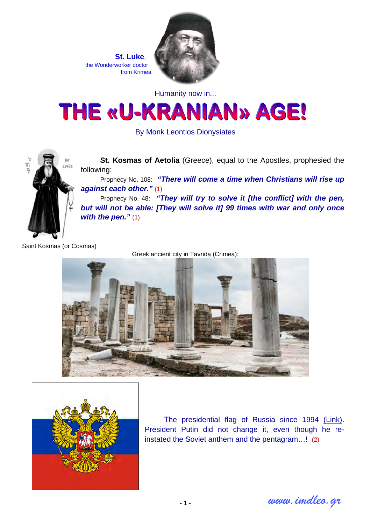**St. Luke**, the Wonderworker doctor from Krimea



Humanity now in...



By Monk Leontios Dionysiates



**St. Kosmas of Aetolia** (Greece), equal to the Apostles, prophesied the following:

Prophecy No. 108: *"There will come a time when Christians will rise up against each other."* (1)

Prophecy No. 48: *"They will try to solve it [the conflict] with the pen, but will not be able: [They will solve it] 99 times with war and only once with the pen."* (1)

Saint Kosmas (or Cosmas)

Greek ancient city in Tavrida (Crimea):





Τhe presidential flag of Russia since 1994 [\(Link\)](http://en.wikipedia.org/wiki/File:Standard_of_the_President_of_the_Russian_Federation.svg). President Putin did not change it, even though he reinstated the Soviet anthem and the pentagram…! (2)

*www.imdleo.gr*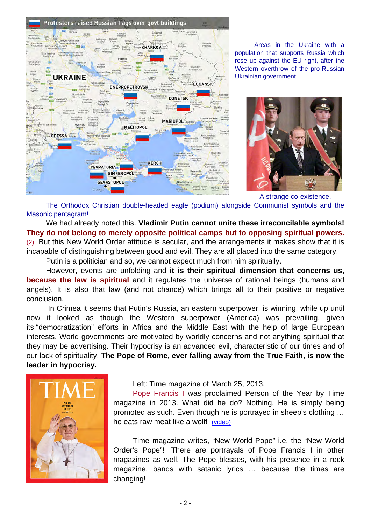

Areas in the Ukraine with a population that supports Russia which rose up against the EU right, after the Western overthrow of the pro-Russian Ukrainian government.



A strange co-existence.

The Orthodox Christian double-headed eagle (podium) alongside Communist symbols and the Masonic pentagram!

We had already noted this. **Vladimir Putin cannot unite these irreconcilable symbols! They do not belong to merely opposite political camps but to opposing spiritual powers.** (2) But this New World Order attitude is secular, and the arrangements it makes show that it is incapable of distinguishing between good and evil. They are all placed into the same category.

Putin is a politician and so, we cannot expect much from him spiritually.

However, events are unfolding and **it is their spiritual dimension that concerns us, because the law is spiritual** and it regulates the universe of rational beings (humans and angels). It is also that law (and not chance) which brings all to their positive or negative conclusion.

 In Crimea it seems that Putin's Russia, an eastern superpower, is winning, while up until now it looked as though the Western superpower (America) was prevailing, given its "democratization" efforts in Africa and the Middle East with the help of large European interests. World governments are motivated by worldly concerns and not anything spiritual that they may be advertising. Their hypocrisy is an advanced evil, characteristic of our times and of our lack of spirituality. **The Pope of Rome, ever falling away from the True Faith, is now the leader in hypocrisy.** 



### Left: Time magazine of March 25, 2013.

Pope Francis I was proclaimed Person of the Year by Time magazine in 2013. What did he do? Nothing. He is simply being promoted as such. Even though he is portrayed in sheep's clothing … he eats raw meat like a wolf! [\(video\)](http://www.imdleo.gr/diaf/2013/08/pope-telones.html)

Time magazine writes, "New World Pope" i.e. the "New World Order's Pope"! There are portrayals of Pope Francis I in other magazines as well. The Pope blesses, with his presence in a rock magazine, bands with satanic lyrics … because the times are changing!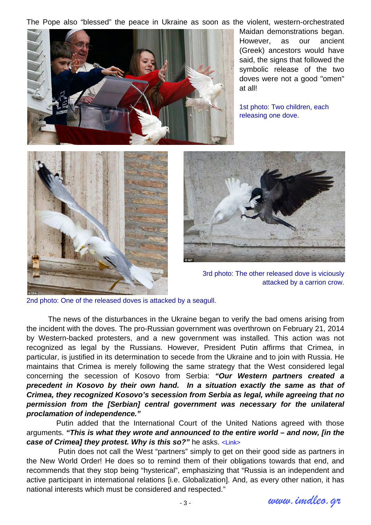The Pope also "blessed" the peace in Ukraine as soon as the violent, western-orchestrated



Maidan demonstrations began. However, as our ancient (Greek) ancestors would have said, the signs that followed the symbolic release of the two doves were not a good "omen" at all!

1st photo: Two children, each releasing one dove.





 3rd photo: The other released dove is viciously attacked by a carrion crow.

2nd photo: One of the released doves is attacked by a seagull.

 The news of the disturbances in the Ukraine began to verify the bad omens arising from the incident with the doves. The pro-Russian government was overthrown on February 21, 2014 by Western-backed protesters, and a new government was installed. This action was not recognized as legal by the Russians. However, President Putin affirms that Crimea, in particular, is justified in its determination to secede from the Ukraine and to join with Russia. He maintains that Crimea is merely following the same strategy that the West considered legal concerning the secession of Kosovo from Serbia: *"Our Western partners created a precedent in Kosovo by their own hand. In a situation exactly the same as that of Crimea, they recognized Kosovo's secession from Serbia as legal, while agreeing that no permission from the [Serbian] central government was necessary for the unilateral proclamation of independence."* 

 Putin added that the International Court of the United Nations agreed with those arguments. *"This is what they wrote and announced to the entire world – and now, [in the case of Crimea] they protest. Why is this so?"* he asks. [<Link>](http://rt.com/news/putin-address-parliament-crimea-562/)

 Putin does not call the West "partners" simply to get on their good side as partners in the New World Order! He does so to remind them of their obligations towards that end, and recommends that they stop being "hysterical", emphasizing that "Russia is an independent and active participant in international relations [i.e. Globalization]. And, as every other nation, it has national interests which must be considered and respected."

*www.imdleo.gr*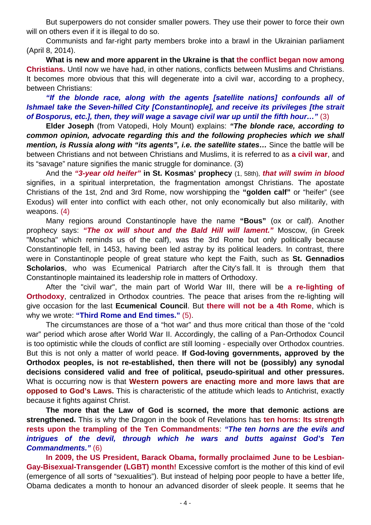But superpowers do not consider smaller powers. They use their power to force their own will on others even if it is illegal to do so.

Communists and far-right party members broke into a brawl in the Ukrainian parliament (April 8, 2014).

**What is new and more apparent in the Ukraine is that the conflict began now among Christians.** Until now we have had, in other nations, conflicts between Muslims and Christians. It becomes more obvious that this will degenerate into a civil war, according to a prophecy, between Christians:

*"If the blonde race, along with the agents [satellite nations] confounds all of Ishmael take the Seven-hilled City [Constantinople], and receive its privileges [the strait of Bosporus, etc.], then, they will wage a savage civil war up until the fifth hour…"* (3)

**Elder Joseph** (from Vatopedi, Holy Mount) explains: *"The blonde race, according to common opinion, advocate regarding this and the following prophecies which we shall mention, is Russia along with "its agents", i.e. the satellite states…* Since the battle will be between Christians and not between Christians and Muslims, it is referred to as **a civil war**, and its "savage" nature signifies the manic struggle for dominance. (3)

And the *"3-year old heifer"* **in St. Kosmas' prophecy** (1, 58th), *that will swim in blood*  signifies, in a spiritual interpretation, the fragmentation amongst Christians. The apostate Christians of the 1st, 2nd and 3rd Rome, now worshipping the **"golden calf"** or "heifer" (see Exodus) will enter into conflict with each other, not only economically but also militarily, with weapons. (4)

Many regions around Constantinople have the name **"Bous"** (ox or calf). Another prophecy says: *"The ox will shout and the Bald Hill will lament."* Moscow, (in Greek "Moscha" which reminds us of the calf), was the 3rd Rome but only politically because Constantinople fell, in 1453, having been led astray by its political leaders. In contrast, there were in Constantinople people of great stature who kept the Faith, such as **St. Gennadios Scholarios**, who was Ecumenical Patriarch after the City's fall. It is through them that Constantinople maintained its leadership role in matters of Orthodoxy.

After the "civil war", the main part of World War III, there will be **a re-lighting of Orthodoxy**, centralized in Orthodox countries. The peace that arises from the re-lighting will give occasion for the last **Ecumenical Council**. But **there will not be a 4th Rome**, which is why we wrote: **"Third Rome and End times."** (5).

The circumstances are those of a "hot war" and thus more critical than those of the "cold war" period which arose after World War II. Accordingly, the calling of a Pan-Orthodox Council is too optimistic while the clouds of conflict are still looming - especially over Orthodox countries. But this is not only a matter of world peace. **If God-loving governments, approved by the Orthodox peoples, is not re-established, then there will not be (possibly) any synodal decisions considered valid and free of political, pseudo-spiritual and other pressures.** What is occurring now is that **Western powers are enacting more and more laws that are opposed to God's Laws.** This is characteristic of the attitude which leads to Antichrist, exactly because it fights against Christ.

**The more that the Law of God is scorned, the more that demonic actions are strengthened.** This is why the Dragon in the book of Revelations has **ten horns: Its strength rests upon the trampling of the Ten Commandments**: *"The ten horns are the evils and intrigues of the devil, through which he wars and butts against God's Ten Commandments."* (6)

**In 2009, the US President, Barack Obama, formally proclaimed June to be Lesbian-Gay-Bisexual-Transgender (LGBT) month!** Excessive comfort is the mother of this kind of evil (emergence of all sorts of "sexualities"). But instead of helping poor people to have a better life, Obama dedicates a month to honour an advanced disorder of sleek people. It seems that he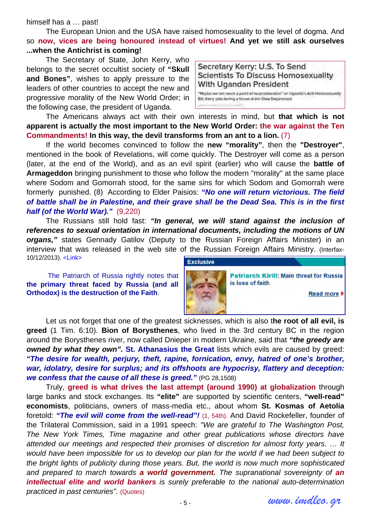#### himself has a … past!

The European Union and the USA have raised homosexuality to the level of dogma. And so **now, vices are being honoured instead of virtues! And yet we still ask ourselves ...when the Antichrist is coming!** 

The Secretary of State, John Kerry, who belongs to the secret occultist society of **"Skull and Bones"**, wishes to apply pressure to the leaders of other countries to accept the new and progressive morality of the New World Order; in the following case, the president of Uganda.

Secretary Kerry: U.S. To Send **Scientists To Discuss Homosexuality** With Ugandan President

"Maybe we can reach a point of reconsideration" on Uganda's Anti-Homosexuality Bill, Kerry said during a forum at the State Department.

The Americans always act with their own interests in mind, but **that which is not apparent is actually the most important to the New World Order: the war against the Ten Commandments! In this way, the devil transforms from an ant to a lion.** (7)

If the world becomes convinced to follow the **new "morality"**, then the **"Destroyer"**, mentioned in the book of Revelations, will come quickly. The Destroyer will come as a person (later, at the end of the World), and as an evil spirit (earlier) who will cause the **battle of Armageddon** bringing punishment to those who follow the modern "morality" at the same place where Sodom and Gomorrah stood, for the same sins for which Sodom and Gomorrah were formerly punished. (8) According to Elder Paisios: *"No one will return victorious. The field of battle shall be in Palestine, and their grave shall be the Dead Sea. This is in the first half (of the World War)."* (9,220)

The Russians still hold fast: *"In general, we will stand against the inclusion of references to sexual orientation in international documents, including the motions of UN organs,"* states Gennady Gatilov (Deputy to the Russian Foreign Affairs Minister) in an interview that was released in the web site of the Russian Foreign Affairs Ministry. (Interfax-10/12/2013). [<Link>](http://www.interfax-religion.com/?act=news&div=10958)

The Patriarch of Russia rightly notes that **the primary threat faced by Russia (and all Orthodox) is the destruction of the Faith**.



Let us not forget that one of the greatest sicknesses, which is also t**he root of all evil, is greed** (1 Tim. 6:10). **Bion of Borysthenes**, who lived in the 3rd century BC in the region around the Borysthenes river, now called Dnieper in modern Ukraine, said that *"the greedy are owned by what they own".* **St. Athanasius the Great** lists which evils are caused by greed: *"The desire for wealth, perjury, theft, rapine, fornication, envy, hatred of one's brother, war, idolatry, desire for surplus; and its offshoots are hypocrisy, flattery and deception: we confess that the cause of all these is greed."* (PG 28,1508)

Truly, **greed is what drives the last attempt (around 1990) at globalization** through large banks and stock exchanges. Its **"elite"** are supported by scientific centers, **"well-read" economists**, politicians, owners of mass-media etc., about whom **St. Kosmas of Aetolia** foretold: *"The evil will come from the well-read"!* (1, 54th). And David Rockefeller, founder of the Trilateral Commission, said in a 1991 speech: *"We are grateful to The Washington Post, The New York Times, Time magazine and other great publications whose directors have attended our meetings and respected their promises of discretion for almost forty years. … It would have been impossible for us to develop our plan for the world if we had been subject to the bright lights of publicity during those years. But, the world is now much more sophisticated and prepared to march towards a world government. The supranational sovereignty of an intellectual elite and world bankers is surely preferable to the national auto-determination practiced in past centuries".* [\(Quotes\)](http://www.goodreads.com/author/quotes/9951.David_Rockefeller)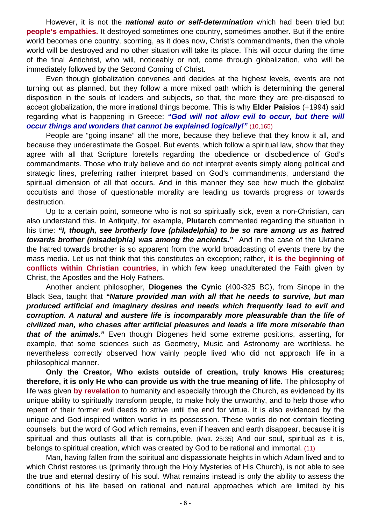However, it is not the *national auto or self-determination* which had been tried but **people's empathies.** It destroyed sometimes one country, sometimes another. But if the entire world becomes one country, scorning, as it does now, Christ's commandments, then the whole world will be destroyed and no other situation will take its place. This will occur during the time of the final Antichrist, who will, noticeably or not, come through globalization, who will be immediately followed by the Second Coming of Christ.

Even though globalization convenes and decides at the highest levels, events are not turning out as planned, but they follow a more mixed path which is determining the general disposition in the souls of leaders and subjects, so that, the more they are pre-disposed to accept globalization, the more irrational things become. This is why **Elder Paisios** (+1994) said regarding what is happening in Greece: *"God will not allow evil to occur, but there will occur things and wonders that cannot be explained logically!"* (10,165)

People are "going insane" all the more, because they believe that they know it all, and because they underestimate the Gospel. But events, which follow a spiritual law, show that they agree with all that Scripture foretells regarding the obedience or disobedience of God's commandments. Those who truly believe and do not interpret events simply along political and strategic lines, preferring rather interpret based on God's commandments, understand the spiritual dimension of all that occurs. And in this manner they see how much the globalist occultists and those of questionable morality are leading us towards progress or towards destruction.

Up to a certain point, someone who is not so spiritually sick, even a non-Christian, can also understand this. In Antiquity, for example, **Plutarch** commented regarding the situation in his time: *"I, though, see brotherly love (philadelphia) to be so rare among us as hatred towards brother (misadelphia) was among the ancients."* And in the case of the Ukraine the hatred towards brother is so apparent from the world broadcasting of events there by the mass media. Let us not think that this constitutes an exception; rather, **it is the beginning of conflicts within Christian countries**, in which few keep unadulterated the Faith given by Christ, the Apostles and the Holy Fathers.

Another ancient philosopher, **Diogenes the Cynic** (400-325 BC), from Sinope in the Black Sea, taught that *"Nature provided man with all that he needs to survive, but man produced artificial and imaginary desires and needs which frequently lead to evil and corruption. A natural and austere life is incomparably more pleasurable than the life of civilized man, who chases after artificial pleasures and leads a life more miserable than that of the animals."* Even though Diogenes held some extreme positions, asserting, for example, that some sciences such as Geometry, Music and Astronomy are worthless, he nevertheless correctly observed how vainly people lived who did not approach life in a philosophical manner.

**Only the Creator, Who exists outside of creation, truly knows His creatures; therefore, it is only He who can provide us with the true meaning of life.** The philosophy of life was given **by revelation** to humanity and especially through the Church, as evidenced by its unique ability to spiritually transform people, to make holy the unworthy, and to help those who repent of their former evil deeds to strive until the end for virtue. It is also evidenced by the unique and God-inspired written works in its possession. These works do not contain fleeting counsels, but the word of God which remains, even if heaven and earth disappear, because it is spiritual and thus outlasts all that is corruptible. (Matt. 25:35) And our soul, spiritual as it is, belongs to spiritual creation, which was created by God to be rational and immortal. (11)

Man, having fallen from the spiritual and dispassionate heights in which Adam lived and to which Christ restores us (primarily through the Holy Mysteries of His Church), is not able to see the true and eternal destiny of his soul. What remains instead is only the ability to assess the conditions of his life based on rational and natural approaches which are limited by his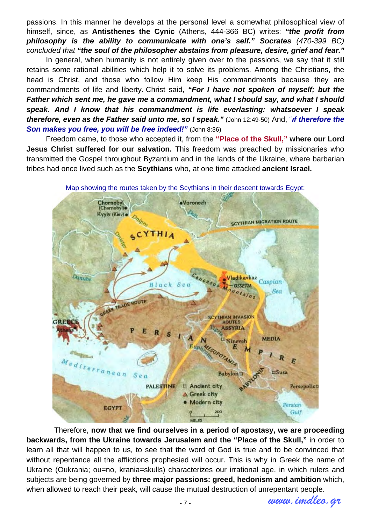passions. In this manner he develops at the personal level a somewhat philosophical view of himself, since, as **Antisthenes the Cynic** (Athens, 444-366 BC) writes: *"the profit from philosophy is the ability to communicate with one's self." Socrates (470-399 BC) concluded that "the soul of the philosopher abstains from pleasure, desire, grief and fear."*

In general, when humanity is not entirely given over to the passions, we say that it still retains some rational abilities which help it to solve its problems. Among the Christians, the head is Christ, and those who follow Him keep His commandments because they are commandments of life and liberty. Christ said, *"For I have not spoken of myself; but the Father which sent me, he gave me a commandment, what I should say, and what I should speak. And I know that his commandment is life everlasting: whatsoever I speak therefore, even as the Father said unto me, so I speak."* (John 12:49-50) And, "*ιf therefore the Son makes you free, you will be free indeed!"* (John 8:36)

Freedom came, to those who accepted it, from the **"Place of the Skull," where our Lord Jesus Christ suffered for our salvation.** This freedom was preached by missionaries who transmitted the Gospel throughout Byzantium and in the lands of the Ukraine, where barbarian tribes had once lived such as the **Scythians** who, at one time attacked **ancient Israel.**



Map showing the routes taken by the Scythians in their descent towards Egypt:

 Therefore, **now that we find ourselves in a period of apostasy, we are proceeding backwards, from the Ukraine towards Jerusalem and the "Place of the Skull,"** in order to learn all that will happen to us, to see that the word of God is true and to be convinced that without repentance all the afflictions prophesied will occur. This is why in Greek the name of Ukraine (Oukrania; ou=no, krania=skulls) characterizes our irrational age, in which rulers and subjects are being governed by **three major passions: greed, hedonism and ambition** which, when allowed to reach their peak, will cause the mutual destruction of unrepentant people.

*www.imdleo.gr*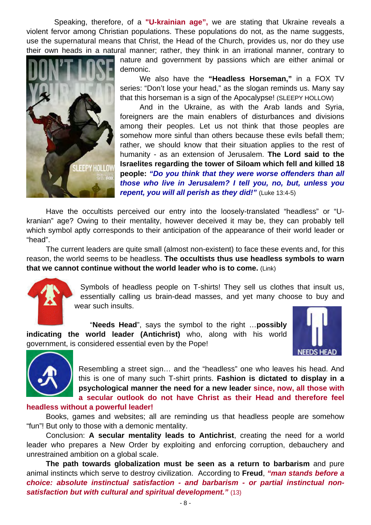Speaking, therefore, of a **"U-krainian age",** we are stating that Ukraine reveals a violent fervor among Christian populations. These populations do not, as the name suggests, use the supernatural means that Christ, the Head of the Church, provides us, nor do they use their own heads in a natural manner; rather, they think in an irrational manner, contrary to



nature and government by passions which are either animal or demonic.

We also have the **"Headless Horseman,"** in a FOX TV series: "Don't lose your head," as the slogan reminds us. Many say that this horseman is a sign of the Apocalypse! [\(SLEEPY HOLLOW\)](http://www.broadwayworld.com/bwwtv/article/BWW-Interviews-SLEEPY-HOLLOW-Creators-On-Why-Headless-Horseman-Is-a-Sign-of-Apocalypse-20130916#.U2AXwq522i1) 

And in the Ukraine, as with the Arab lands and Syria, foreigners are the main enablers of disturbances and divisions among their peoples. Let us not think that those peoples are somehow more sinful than others because these evils befall them; rather, we should know that their situation applies to the rest of humanity - as an extension of Jerusalem. **The Lord said to the Israelites regarding the tower of Siloam which fell and killed 18 people:** *"Do you think that they were worse offenders than all those who live in Jerusalem? I tell you, no, but, unless you repent, you will all perish as they did!"* (Luke 13:4-5)

Have the occultists perceived our entry into the loosely-translated "headless" or "Ukranian" age? Owing to their mentality, however deceived it may be, they can probably tell which symbol aptly corresponds to their anticipation of the appearance of their world leader or "head".

The current leaders are quite small (almost non-existent) to face these events and, for this reason, the world seems to be headless. **The occultists thus use headless symbols to warn that we cannot continue without the world leader who is to come.** (Link)



Symbols of headless people on T-shirts! They sell us clothes that insult us, essentially calling us brain-dead masses, and yet many choose to buy and wear such insults.

"**Needs Head**", says the symbol to the right …**possibly indicating the world leader (Antichrist)** who, along with his world government, is considered essential even by the Pope!





Resembling a street sign… and the "headless" one who leaves his head. And this is one of many such T-shirt prints. **Fashion is dictated to display in a psychological manner the need for a new leader since, now, all those with a secular outlook do not have Christ as their Head and therefore feel** 

### **headless without a powerful leader!**

Books, games and websites; all are reminding us that headless people are somehow "fun"! But only to those with a demonic mentality.

Conclusion: **A secular mentality leads to Antichrist**, creating the need for a world leader who prepares a New Order by exploiting and enforcing corruption, debauchery and unrestrained ambition on a global scale.

**The path towards globalization must be seen as a return to barbarism** and pure animal instincts which serve to destroy civilization. According to **Freud**, *"man stands before a choice: absolute instinctual satisfaction - and barbarism - or partial instinctual nonsatisfaction but with cultural and spiritual development."* (13)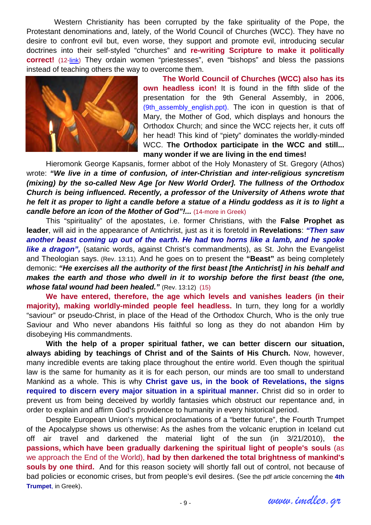Western Christianity has been corrupted by the fake spirituality of the Pope, the Protestant denominations and, lately, of the World Council of Churches (WCC). They have no desire to confront evil but, even worse, they support and promote evil, introducing secular doctrines into their self-styled "churches" and **re-writing Scripture to make it politically correct!** (12-[link\)](http://www.imdleo.gr/htm/anortho.htm) They ordain women "priestesses", even "bishops" and bless the passions instead of teaching others the way to overcome them.



**The World Council of Churches (WCC) also has its own headless icon!** It is found in the fifth slide of the presentation for the 9th General Assembly, in 2006, (9th assembly english.ppt). The icon in question is that of Mary, the Mother of God, which displays and honours the Orthodox Church; and since the WCC rejects her, it cuts off her head! This kind of "piety" dominates the worldly-minded WCC. **The Orthodox participate in the WCC and still... many wonder if we are living in the end times!** 

Hieromonk George Kapsanis, former abbot of the Holy Monastery of St. Gregory (Athos) wrote: *"We live in a time of confusion, of inter-Christian and inter-religious syncretism (mixing) by the so-called New Age [or New World Order]. The fullness of the Orthodox Church is being influenced. Recently, a professor of the University of Athens wrote that he felt it as proper to light a candle before a statue of a Hindu goddess as it is to light a candle before an icon of the Mother of God"!...* (14[-more in Greek\)](http://www.imdleo.gr/htm/anortho.htm)

This "spirituality" of the apostates, i.e. former Christians, with the **False Prophet as leader**, will aid in the appearance of Antichrist, just as it is foretold in **Revelations**: *"Then saw another beast coming up out of the earth. He had two horns like a lamb, and he spoke*  **like a dragon**", (satanic words, against Christ's commandments), as St. John the Evangelist and Theologian says. (Rev. 13:11). And he goes on to present the **"Beast"** as being completely demonic: *"He exercises all the authority of the first beast [the Antichrist] in his behalf and makes the earth and those who dwell in it to worship before the first beast (the one, whose fatal wound had been healed."* (Rev. 13:12) (15)

**We have entered, therefore, the age which levels and vanishes leaders (in their majority), making worldly-minded people feel headless.** In turn, they long for a worldly "saviour" or pseudo-Christ, in place of the Head of the Orthodox Church, Who is the only true Saviour and Who never abandons His faithful so long as they do not abandon Him by disobeying His commandments.

**With the help of a proper spiritual father, we can better discern our situation, always abiding by teachings of Christ and of the Saints of His Church.** Now, however, many incredible events are taking place throughout the entire world. Even though the spiritual law is the same for humanity as it is for each person, our minds are too small to understand Mankind as a whole. This is why **Christ gave us, in the book of Revelations, the signs required to discern every major situation in a spiritual manner.** Christ did so in order to prevent us from being deceived by worldly fantasies which obstruct our repentance and, in order to explain and affirm God's providence to humanity in every historical period.

Despite European Union's mythical proclamations of a "better future", the Fourth Trumpet of the Apocalypse shows us otherwise: As the ashes from the volcanic eruption in Iceland cut off air travel and darkened the material light of the sun (in 3/21/2010), **the passions, which have been gradually darkening the spiritual light of people's souls** (as we approach the End of the World), **had by then darkened the total brightness of mankind's**  souls by one third. And for this reason society will shortly fall out of control, not because of [bad policies or economic crises, but from people's evil desires. \(See the pdf article concerning the](http://www.imdleo.gr/apocalypse/apocalypse_d.pdf) **4th Trumpet**, in Greek).

*www.imdleo.gr*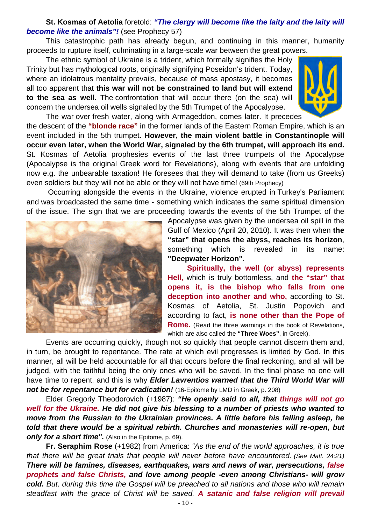# **St. Kosmas of Aetolia** foretold: *"The clergy will become like the laity and the laity will become like the animals"!* (see Prophecy 57)

This catastrophic path has already begun, and continuing in this manner, humanity proceeds to rupture itself, culminating in a large-scale war between the great powers.

The ethnic symbol of Ukraine is a trident, which formally signifies the Holy Trinity but has mythological roots, originally signifying Poseidon's trident. Today, where an idolatrous mentality prevails, because of mass apostasy, it becomes all too apparent that **this war will not be constrained to land but will extend to the sea as well.** The confrontation that will occur there (on the sea) will concern the undersea oil wells signaled by the 5th Trumpet of the Apocalypse.

The war over fresh water, along with Armageddon, comes later. It precedes the descent of the **"blonde race"** in the former lands of the Eastern Roman Empire, which is an

event included in the 5th trumpet. **However, the main violent battle in Constantinople will occur even later, when the World War, signaled by the 6th trumpet, will approach its end.** St. Kosmas of Aetolia prophesies events of the last three trumpets of the Apocalypse (Apocalypse is the original Greek word for Revelations), along with events that are unfolding now e.g. the unbearable taxation! He foresees that they will demand to take (from us Greeks) even soldiers but they will not be able or they will not have time! (69th Prophecy)

 Occurring alongside the events in the Ukraine, violence erupted in Turkey's Parliament and was broadcasted the same time - something which indicates the same spiritual dimension of the issue. The sign that we are proceeding towards the events of the 5th Trumpet of the



Apocalypse was given by the undersea oil spill in the Gulf of Mexico (April 20, 2010). It was then when **the "star" that opens the abyss, reaches its horizon**, something which is revealed in its name: **"Deepwater Horizon"**.

**Spiritually, the well (or abyss) represents Hell**, which is truly bottomless, and **the "star" that opens it, is the bishop who falls from one deception into another and who,** according to St. Kosmas of Aetolia, St. Justin Popovich and according to fact, **is none other than the Pope of Rome.** (Read the three warnings in the book of Revelations, which are also called the **["Three Woes"](http://www.imdleo.gr/diaf/2010/08/3ue.pdf)**, in Greek).

Events are occurring quickly, though not so quickly that people cannot discern them and, in turn, be brought to repentance. The rate at which evil progresses is limited by God. In this manner, all will be held accountable for all that occurs before the final reckoning, and all will be judged, with the faithful being the only ones who will be saved. In the final phase no one will have time to repent, and this is why *Elder Lavrentios warned that the Third World War will not be for repentance but for eradication!* (16-Epitome by LMD in Greek, p. 208)

Elder Gregoriy Theodorovich (+1987): *"He openly said to all, that things will not go well for the Ukraine. He did not give his blessing to a number of priests who wanted to move from the Russian to the Ukrainian provinces. A little before his falling asleep, he told that there would be a spiritual rebirth. Churches and monasteries will re-open, but*  **only for a short time".** (Also in the Epitome, p. 69).

**Fr. Seraphim Rose** (+1982) from America: *"As the end of the world approaches, it is true that there will be great trials that people will never before have encountered. (See Matt. 24:21) There will be famines, diseases, earthquakes, wars and news of war, persecutions, false prophets and false Christs, and love among people -even among Christians- will grow cold. But, during this time the Gospel will be preached to all nations and those who will remain steadfast with the grace of Christ will be saved. A satanic and false religion will prevail* 

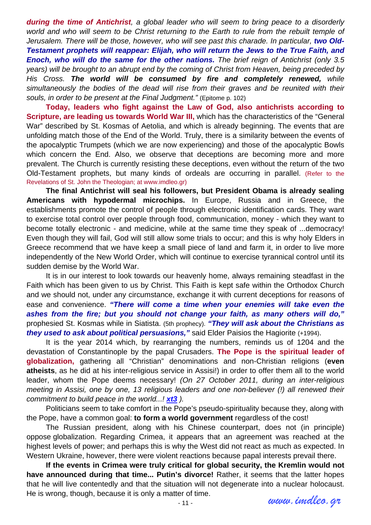*during the time of Antichrist, a global leader who will seem to bring peace to a disorderly world and who will seem to be Christ returning to the Earth to rule from the rebuilt temple of Jerusalem. There will be those, however, who will see past this charade. In particular, two Old-Testament prophets will reappear: Elijah, who will return the Jews to the True Faith, and Enoch, who will do the same for the other nations. The brief reign of Antichrist (only 3.5 years) will be brought to an abrupt end by the coming of Christ from Heaven, being preceded by His Cross. The world will be consumed by fire and completely renewed, while simultaneously the bodies of the dead will rise from their graves and be reunited with their souls, in order to be present at the Final Judgment."* (Epitome p. 102)

**Today, leaders who fight against the Law of God, also antichrists according to Scripture, are leading us towards World War III,** which has the characteristics of the "General War" described by St. Kosmas of Aetolia, and which is already beginning. The events that are unfolding match those of the End of the World. Truly, there is a similarity between the events of the apocalyptic Trumpets (which we are now experiencing) and those of the apocalyptic Bowls which concern the End. Also, we observe that deceptions are becoming more and more prevalent. The Church is currently resisting these deceptions, even without the return of the two Old-Testament prophets, but many kinds of ordeals are occurring in parallel. (Refer to the [Revelations](http://www.imdleo.gr/apocalypse/ap/apoc.html) of St. John the Theologian; at www.imdleo.gr)

**The final Antichrist will seal his followers, but President Obama is already sealing Americans with hypodermal microchips.** In Europe, Russia and in Greece, the establishments promote the control of people through electronic identification cards. They want to exercise total control over people through food, communication, money - which they want to become totally electronic - and medicine, while at the same time they speak of ...democracy! Even though they will fail, God will still allow some trials to occur; and this is why holy Elders in Greece recommend that we have keep a small piece of land and farm it, in order to live more independently of the New World Order, which will continue to exercise tyrannical control until its sudden demise by the World War.

It is in our interest to look towards our heavenly home, always remaining steadfast in the Faith which has been given to us by Christ. This Faith is kept safe within the Orthodox Church and we should not, under any circumstance, exchange it with current deceptions for reasons of ease and convenience. *"There will come a time when your enemies will take even the ashes from the fire; but you should not change your faith, as many others will do,"* prophesied St. Kosmas while in Siatista. (5th prophecy). *"They will ask about the Christians as they used to ask about political persuasions,"* said Elder Paisios the Hagiorite (+1994).

It is the year 2014 which, by rearranging the numbers, reminds us of 1204 and the devastation of Constantinople by the papal Crusaders. **The Pope is the spiritual leader of globalization,** gathering all "Christian" denominations and non-Christian religions (**even atheists**, as he did at his inter-religious service in Assisi!) in order to offer them all to the world leader, whom the Pope deems necessary! *(On 27 October 2011, during an inter-religious meeting in Assisi, one by one, 13 religious leaders and one non-believer (!) all renewed their commitment to build peace in the world...! [xt3](http://www.xt3.com/library/view.php?id=7945) ).*

Politicians seem to take comfort in the Pope's pseudo-spirituality because they, along with the Pope, have a common goal: **to form a world government** regardless of the cost!

The Russian president, along with his Chinese counterpart, does not (in principle) oppose globalization. Regarding Crimea, it appears that an agreement was reached at the highest levels of power; and perhaps this is why the West did not react as much as expected. In Western Ukraine, however, there were violent reactions because papal interests prevail there.

**If the events in Crimea were truly critical for global security, the Kremlin would not have announced during that time... Putin's divorce!** Rather, it seems that the latter hopes that he will live contentedly and that the situation will not degenerate into a nuclear holocaust. He is wrong, though, because it is only a matter of time.

*www.imdleo.gr*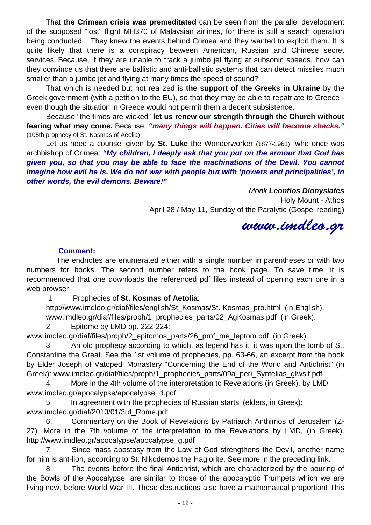That **the Crimean crisis was premeditated** can be seen from the parallel development of the supposed "lost" flight MH370 of Malaysian airlines, for there is still a search operation being conducted... They knew the events behind Crimea and they wanted to exploit them. It is quite likely that there is a conspiracy between American, Russian and Chinese secret services. Because, if they are unable to track a jumbo jet flying at subsonic speeds, how can they convince us that there are ballistic and anti-ballistic systems that can detect missiles much smaller than a jumbo jet and flying at many times the speed of sound?

That which is needed but not realized is **the support of the Greeks in Ukraine** by the Greek government (with a petition to the EU), so that they may be able to repatriate to Greece even though the situation in Greece would not permit them a decent subsistence.

Because "the times are wicked" **let us renew our strength through the Church without fearing what may come.** Because, *"many things will happen. Cities will become shacks."*  (105th prophecy of St. Kosmas of Aeolia)

Let us heed a counsel given by **St. Luke** the Wonderworker (1877-1961), who once was archbishop of Crimea: *"My children, I deeply ask that you put on the armour that God has given you, so that you may be able to face the machinations of the Devil. You cannot imagine how evil he is. We do not war with people but with 'powers and principalities', in other words, the evil demons. Beware!"* 

> *Monk Leontios Dionysiates* Holy Mount - Athos April 28 / May 11, Sunday of the Paralytic (Gospel reading)

*www.imdleo.gr* 

## **Comment:**

 The endnotes are enumerated either with a single number in parentheses or with two numbers for books. The second number refers to the book page. To save time, it is recommended that one downloads the referenced pdf files instead of opening each one in a web browser.

1. Prophecies of **St. Kosmas of Aetolia**:

http://www.imdleo.gr/diaf/files/english/St\_Kosmas/St. Kosmas\_pro.html (in English). www.imdleo.gr/diaf/files/proph/1\_prophecies\_parts/02\_AgKosmas.pdf (in Greek).

2. Epitome by LMD pp. 222-224:

www.imdleo.gr/diaf/files/proph/2\_epitomos\_parts/26\_prof\_me\_leptom.pdf (in Greek).

3. An old prophecy according to which, as legend has it, it was upon the tomb of St. Constantine the Great. See the 1st volume of prophecies, pp. 63-66, an excerpt from the book by Elder Joseph of Vatopedi Monastery "Concerning the End of the World and Antichrist" (in Greek): www.imdleo.gr/diaf/files/proph/1\_prophecies\_parts/09a\_peri\_Syntelias\_gIwsif.pdf

4. More in the 4th volume of the interpretation to Revelations (in Greek), by LMD: www.imdleo.gr/apocalypse/apocalypse\_d.pdf

5. In agreement with the prophecies of Russian startsi (elders, in Greek): www.imdleo.gr/diaf/2010/01/3rd\_Rome.pdf

6. Commentary on the Book of Revelations by Patriarch Anthimos of Jerusalem (Z-27). More in the 7th volume of the interpretation to the Revelations by LMD, (in Greek). http://www.imdleo.gr/apocalypse/apocalypse\_g.pdf

7. Since mass apostasy from the Law of God strengthens the Devil, another name for him is ant-lion, according to St. Nikodemos the Hagiorite. See more in the preceding link.

8. The events before the final Antichrist, which are characterized by the pouring of the Bowls of the Apocalypse, are similar to those of the apocalyptic Trumpets which we are living now, before World War III. These destructions also have a mathematical proportion! This